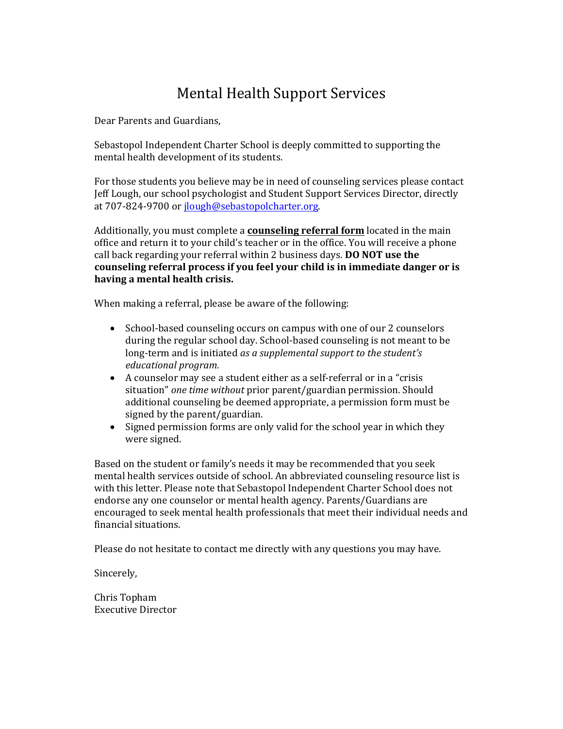# Mental Health Support Services

Dear Parents and Guardians,

Sebastopol Independent Charter School is deeply committed to supporting the mental health development of its students.

For those students you believe may be in need of counseling services please contact Jeff Lough, our school psychologist and Student Support Services Director, directly at 707-824-9700 or jlough@sebastopolcharter.org.

Additionally, you must complete a **counseling referral form** located in the main office and return it to your child's teacher or in the office. You will receive a phone call back regarding your referral within 2 business days. **DO NOT use the counseling referral process if you feel your child is in immediate danger or is having a mental health crisis.** 

When making a referral, please be aware of the following:

- School-based counseling occurs on campus with one of our 2 counselors during the regular school day. School-based counseling is not meant to be long-term and is initiated *as a supplemental support to the student's educational program.*
- A counselor may see a student either as a self-referral or in a "crisis" situation" *one time without* prior parent/guardian permission. Should additional counseling be deemed appropriate, a permission form must be signed by the parent/guardian.
- Signed permission forms are only valid for the school year in which they were signed.

Based on the student or family's needs it may be recommended that you seek mental health services outside of school. An abbreviated counseling resource list is with this letter. Please note that Sebastopol Independent Charter School does not endorse any one counselor or mental health agency. Parents/Guardians are encouraged to seek mental health professionals that meet their individual needs and financial situations.

Please do not hesitate to contact me directly with any questions you may have.

Sincerely,

Chris Topham Executive Director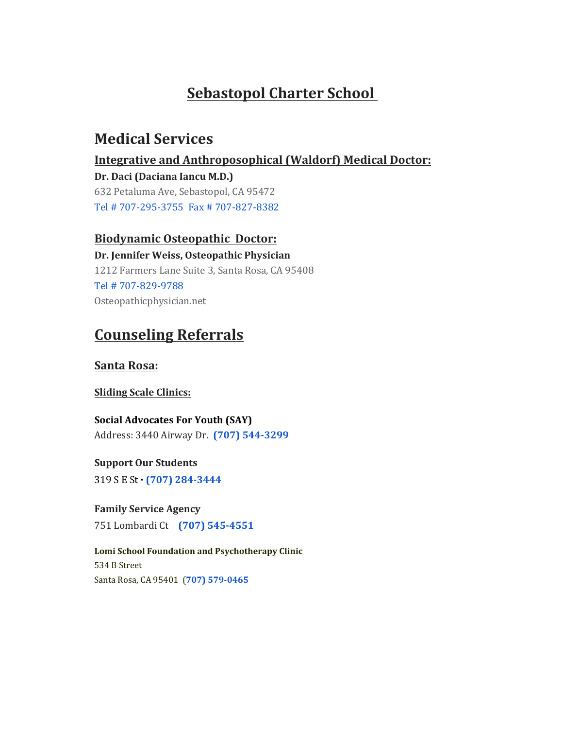# **Sebastopol Charter School**

# **Medical Services**

# **Integrative and Anthroposophical (Waldorf) Medical Doctor:**

**Dr. Daci (Daciana Iancu M.D.)** 632 Petaluma Ave, Sebastopol, CA 95472 Tel # 707-295-3755 Fax # 707-827-8382

# **Biodynamic Osteopathic Doctor:**

**Dr. Jennifer Weiss, Osteopathic Physician** 1212 Farmers Lane Suite 3, Santa Rosa, CA 95408 Tel # 707-829-9788 Osteopathicphysician.net

# **Counseling Referrals**

## **Santa Rosa:**

## **Sliding Scale Clinics:**

**Social Advocates For Youth (SAY)**  Address: 3440 Airway Dr. **(707) 544-3299**

**Support Our Students**

319 S E St **· (707) 284-3444**

**Family Service Agency** 751 Lombardi Ct **(707) 545-4551**

**Lomi School Foundation and Psychotherapy Clinic** 534 B Street Santa Rosa, CA 95401 (**707) 579-0465**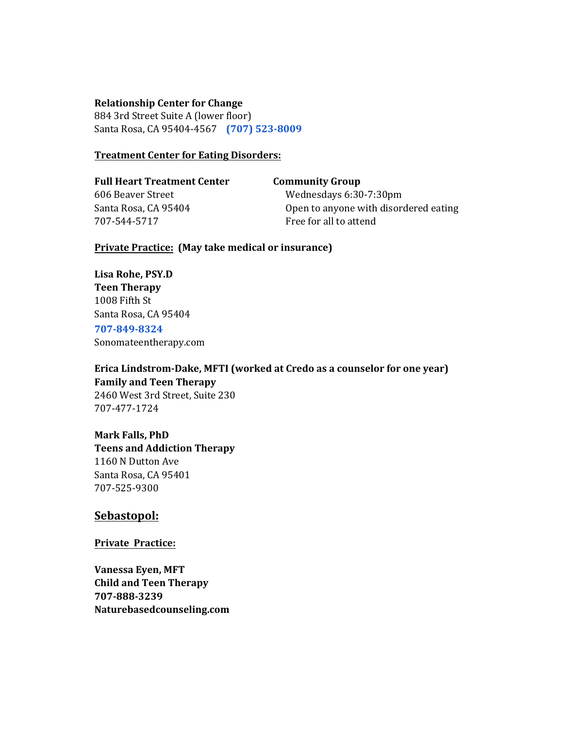#### **Relationship Center for Change**

884 3rd Street Suite A (lower floor) Santa Rosa, CA 95404-4567 **(707) 523-8009**

#### **Treatment Center for Eating Disorders:**

**Full Heart Treatment Center Community Group** 606 Beaver Street Wednesdays 6:30-7:30pm 707-544-5717 Free for all to attend

Santa Rosa, CA 95404 **Open to anyone with disordered eating** 

**Private Practice: (May take medical or insurance)**

**Lisa Rohe, PSY.D Teen Therapy** 1008 Fifth St Santa Rosa, CA 95404 **707-849-8324**

Sonomateentherapy.com

**Erica Lindstrom-Dake, MFTI (worked at Credo as a counselor for one year) Family and Teen Therapy** 2460 West 3rd Street, Suite 230 707-477-1724

**Mark Falls, PhD Teens and Addiction Therapy** 1160 N Dutton Ave Santa Rosa, CA 95401 707-525-9300

### **Sebastopol:**

**Private Practice:**

**Vanessa Eyen, MFT Child and Teen Therapy 707-888-3239 Naturebasedcounseling.com**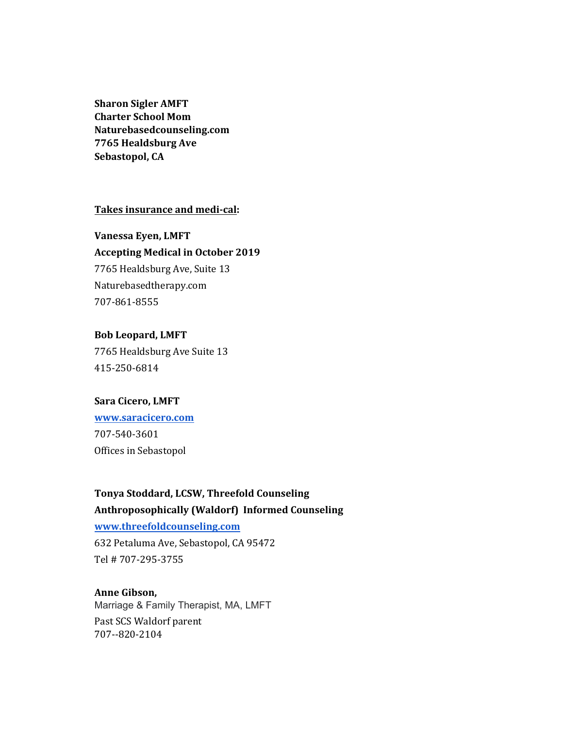**Sharon Sigler AMFT Charter School Mom Naturebasedcounseling.com 7765 Healdsburg Ave Sebastopol, CA**

### **Takes insurance and medi-cal:**

# **Vanessa Eyen, LMFT Accepting Medical in October 2019** 7765 Healdsburg Ave, Suite 13 Naturebasedtherapy.com 707-861-8555

### **Bob Leopard, LMFT**

7765 Healdsburg Ave Suite 13 415-250-6814

### **Sara Cicero, LMFT**

**www.saracicero.com** 707-540-3601 Offices in Sebastopol

# **Tonya Stoddard, LCSW, Threefold Counseling Anthroposophically (Waldorf) Informed Counseling**

**www.threefoldcounseling.com**

632 Petaluma Ave, Sebastopol, CA 95472 Tel # 707-295-3755

### **Anne Gibson,**

Marriage & Family Therapist, MA, LMFT Past SCS Waldorf parent 707--820-2104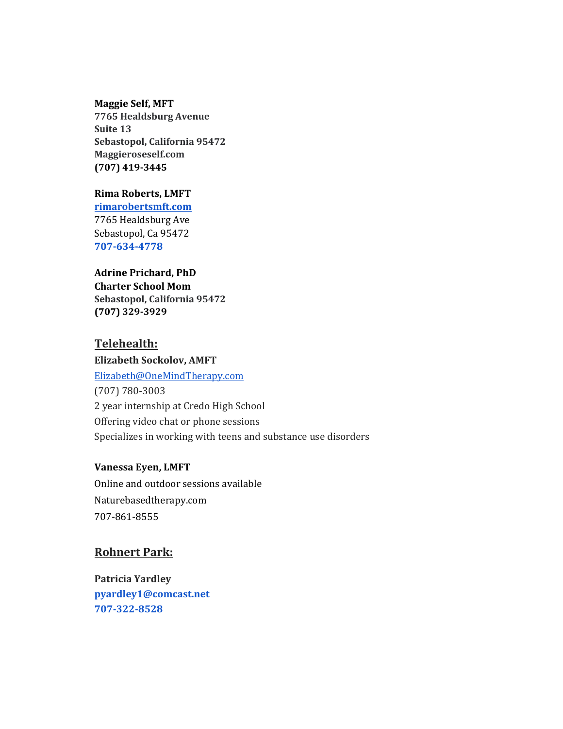#### **Maggie Self, MFT**

**7765 Healdsburg Avenue Suite 13 Sebastopol, California 95472 Maggieroseself.com (707) 419-3445**

### **Rima Roberts, LMFT**

**rimarobertsmft.com** 7765 Healdsburg Ave Sebastopol, Ca 95472 **707-634-4778**

## **Adrine Prichard, PhD Charter School Mom Sebastopol, California 95472**

**(707) 329-3929**

### **Telehealth:**

### **Elizabeth Sockolov, AMFT**

Elizabeth@OneMindTherapy.com (707) 780-3003 2 year internship at Credo High School Offering video chat or phone sessions Specializes in working with teens and substance use disorders

### **Vanessa Eyen, LMFT**

Online and outdoor sessions available Naturebasedtherapy.com 707-861-8555

### **Rohnert Park:**

**Patricia Yardley pyardley1@comcast.net 707-322-8528**